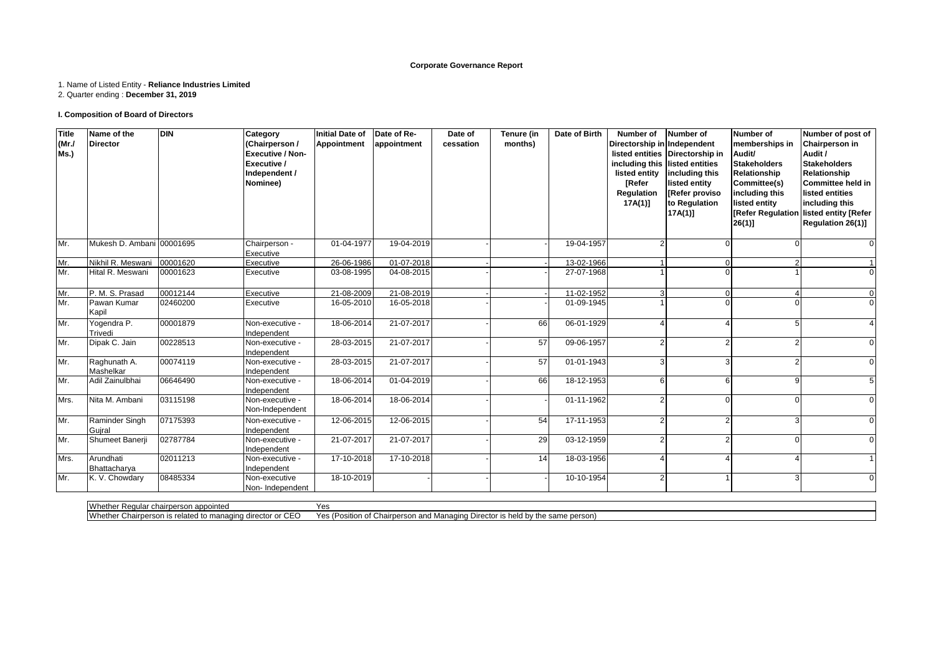### **Corporate Governance Report**

### 1. Name of Listed Entity - **Reliance Industries Limited**

2. Quarter ending : **December 31, 2019**

### **I. Composition of Board of Directors**

| <b>Title</b><br>(MrJ)<br>Ms.) | Name of the<br><b>Director</b> | <b>DIN</b> | Category<br>(Chairperson /<br><b>Executive / Non-</b><br>Executive /<br>Independent /<br>Nominee) | <b>Initial Date of</b><br><b>Appointment</b> | Date of Re-<br>appointment | Date of<br>cessation | Tenure (in<br>months) | Date of Birth | Number of<br>Directorship in Independent<br>listed entity<br><b>[Refer</b><br>Regulation<br>17A(1)] | Number of<br>listed entities Directorship in<br>including this listed entities<br>including this<br>listed entity<br>[Refer proviso]<br>to Regulation<br>17A(1) | <b>Number of</b><br>memberships in<br>Audit/<br><b>Stakeholders</b><br>Relationship<br>Committee(s)<br>including this<br>listed entity<br>[Refer Regulation<br>$26(1)$ ] | Number of post of<br>Chairperson in<br>Audit /<br><b>Stakeholders</b><br>Relationship<br><b>Committee held in</b><br>listed entities<br>including this<br>listed entity [Refer<br>Regulation 26(1)] |
|-------------------------------|--------------------------------|------------|---------------------------------------------------------------------------------------------------|----------------------------------------------|----------------------------|----------------------|-----------------------|---------------|-----------------------------------------------------------------------------------------------------|-----------------------------------------------------------------------------------------------------------------------------------------------------------------|--------------------------------------------------------------------------------------------------------------------------------------------------------------------------|-----------------------------------------------------------------------------------------------------------------------------------------------------------------------------------------------------|
| Mr.                           | Mukesh D. Ambani 00001695      |            | Chairperson -<br>Executive                                                                        | 01-04-1977                                   | 19-04-2019                 |                      |                       | 19-04-1957    |                                                                                                     |                                                                                                                                                                 |                                                                                                                                                                          | $\Omega$                                                                                                                                                                                            |
| Mr.                           | Nikhil R. Meswani              | 00001620   | Executive                                                                                         | 26-06-1986                                   | 01-07-2018                 |                      |                       | 13-02-1966    |                                                                                                     | $\Omega$                                                                                                                                                        |                                                                                                                                                                          |                                                                                                                                                                                                     |
| Mr.                           | Hital R. Meswani               | 00001623   | Executive                                                                                         | 03-08-1995                                   | 04-08-2015                 |                      |                       | 27-07-1968    |                                                                                                     |                                                                                                                                                                 |                                                                                                                                                                          | $\Omega$                                                                                                                                                                                            |
| Mr.                           | P. M. S. Prasad                | 00012144   | Executive                                                                                         | 21-08-2009                                   | 21-08-2019                 |                      |                       | 11-02-1952    | 3                                                                                                   | $\Omega$                                                                                                                                                        |                                                                                                                                                                          | $\Omega$                                                                                                                                                                                            |
| Mr.                           | Pawan Kumar<br>Kapil           | 02460200   | Executive                                                                                         | 16-05-2010                                   | 16-05-2018                 |                      |                       | 01-09-1945    |                                                                                                     |                                                                                                                                                                 |                                                                                                                                                                          | $\Omega$                                                                                                                                                                                            |
| Mr.                           | Yogendra P.<br>Trivedi         | 00001879   | Non-executive -<br>Independent                                                                    | 18-06-2014                                   | 21-07-2017                 |                      | 66                    | 06-01-1929    |                                                                                                     |                                                                                                                                                                 |                                                                                                                                                                          |                                                                                                                                                                                                     |
| Mr.                           | Dipak C. Jain                  | 00228513   | Non-executive -<br>Independent                                                                    | 28-03-2015                                   | 21-07-2017                 |                      | 57                    | 09-06-1957    |                                                                                                     |                                                                                                                                                                 |                                                                                                                                                                          | $\Omega$                                                                                                                                                                                            |
| Mr.                           | Raghunath A.<br>Mashelkar      | 00074119   | Non-executive -<br>Independent                                                                    | 28-03-2015                                   | 21-07-2017                 |                      | 57                    | 01-01-1943    |                                                                                                     |                                                                                                                                                                 |                                                                                                                                                                          | $\Omega$                                                                                                                                                                                            |
| Mr.                           | Adil Zainulbhai                | 06646490   | Non-executive -<br>Independent                                                                    | 18-06-2014                                   | 01-04-2019                 |                      | 66                    | 18-12-1953    |                                                                                                     |                                                                                                                                                                 |                                                                                                                                                                          | 5                                                                                                                                                                                                   |
| Mrs.                          | Nita M. Ambani                 | 03115198   | Non-executive -<br>Non-Independent                                                                | 18-06-2014                                   | 18-06-2014                 |                      |                       | 01-11-1962    |                                                                                                     |                                                                                                                                                                 |                                                                                                                                                                          |                                                                                                                                                                                                     |
| Mr.                           | Raminder Singh<br>Guiral       | 07175393   | Non-executive -<br>Independent                                                                    | 12-06-2015                                   | 12-06-2015                 |                      | 54                    | 17-11-1953    |                                                                                                     |                                                                                                                                                                 |                                                                                                                                                                          | $\Omega$                                                                                                                                                                                            |
| Mr.                           | Shumeet Banerji                | 02787784   | Non-executive -<br>Independent                                                                    | 21-07-2017                                   | 21-07-2017                 |                      | 29                    | 03-12-1959    |                                                                                                     |                                                                                                                                                                 |                                                                                                                                                                          | $\Omega$                                                                                                                                                                                            |
| Mrs.                          | Arundhati<br>Bhattacharya      | 02011213   | Non-executive -<br>Independent                                                                    | 17-10-2018                                   | 17-10-2018                 |                      | 14                    | 18-03-1956    |                                                                                                     |                                                                                                                                                                 |                                                                                                                                                                          |                                                                                                                                                                                                     |
| Mr.                           | K. V. Chowdary                 | 08485334   | Non-executive<br>Non-Independent                                                                  | 18-10-2019                                   |                            |                      |                       | 10-10-1954    | $\mathcal{P}$                                                                                       |                                                                                                                                                                 | ર                                                                                                                                                                        | $\Omega$                                                                                                                                                                                            |

Whether Regular chairperson appointed<br>Whether Chairperson is related to managing director or CEO Yes Yes (Position of Chairperson and Managing Director is held by the same person)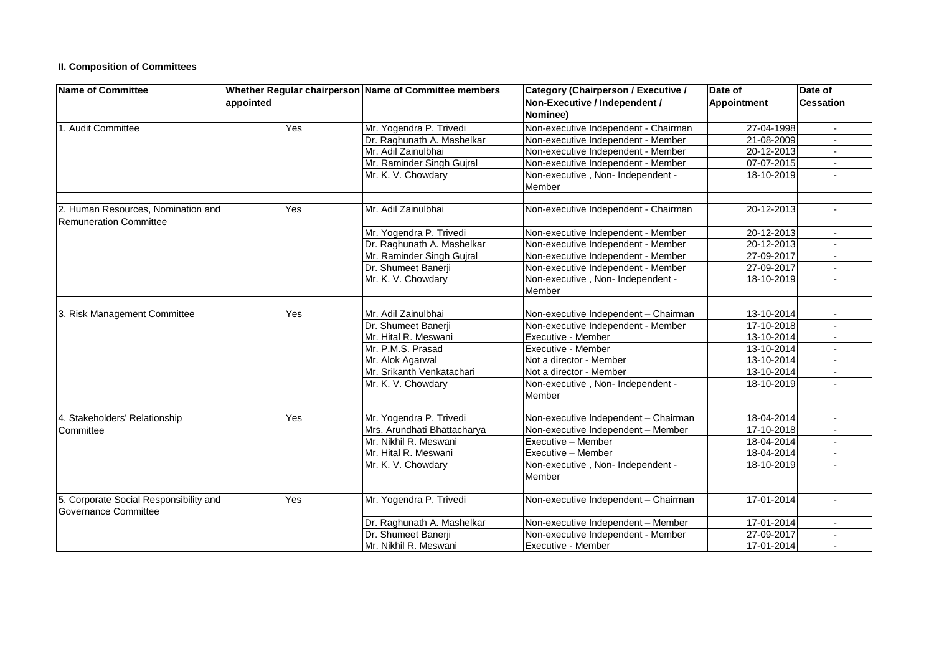## **II. Composition of Committees**

| <b>Name of Committee</b>                                            |           | Whether Regular chairperson Name of Committee members | Category (Chairperson / Executive /         | Date of     | Date of                  |  |
|---------------------------------------------------------------------|-----------|-------------------------------------------------------|---------------------------------------------|-------------|--------------------------|--|
|                                                                     | appointed |                                                       | Non-Executive / Independent /<br>Nominee)   | Appointment | <b>Cessation</b>         |  |
| 1. Audit Committee                                                  | Yes       | Mr. Yogendra P. Trivedi                               | Non-executive Independent - Chairman        | 27-04-1998  | $\overline{\phantom{a}}$ |  |
|                                                                     |           | Dr. Raghunath A. Mashelkar                            | Non-executive Independent - Member          | 21-08-2009  |                          |  |
|                                                                     |           | Mr. Adil Zainulbhai                                   | Non-executive Independent - Member          | 20-12-2013  |                          |  |
|                                                                     |           | Mr. Raminder Singh Gujral                             | Non-executive Independent - Member          | 07-07-2015  |                          |  |
|                                                                     |           | Mr. K. V. Chowdary                                    | Non-executive, Non- Independent -<br>Member | 18-10-2019  | $\overline{a}$           |  |
| 2. Human Resources. Nomination and<br><b>Remuneration Committee</b> | Yes       | Mr. Adil Zainulbhai                                   | Non-executive Independent - Chairman        | 20-12-2013  |                          |  |
|                                                                     |           | Mr. Yogendra P. Trivedi                               | Non-executive Independent - Member          | 20-12-2013  |                          |  |
|                                                                     |           | Dr. Raghunath A. Mashelkar                            | Non-executive Independent - Member          | 20-12-2013  |                          |  |
|                                                                     |           | Mr. Raminder Singh Gujral                             | Non-executive Independent - Member          | 27-09-2017  | $\mathbf{r}$             |  |
|                                                                     |           | Dr. Shumeet Banerji                                   | Non-executive Independent - Member          | 27-09-2017  | $\blacksquare$           |  |
|                                                                     |           | Mr. K. V. Chowdary                                    | Non-executive, Non- Independent -<br>Member | 18-10-2019  |                          |  |
| 3. Risk Management Committee                                        | Yes       | Mr. Adil Zainulbhai                                   | Non-executive Independent - Chairman        | 13-10-2014  |                          |  |
|                                                                     |           | Dr. Shumeet Banerji                                   | Non-executive Independent - Member          | 17-10-2018  |                          |  |
|                                                                     |           | Mr. Hital R. Meswani                                  | Executive - Member                          | 13-10-2014  | $\overline{a}$           |  |
|                                                                     |           | Mr. P.M.S. Prasad                                     | Executive - Member                          | 13-10-2014  | $\overline{a}$           |  |
|                                                                     |           | Mr. Alok Agarwal                                      | Not a director - Member                     | 13-10-2014  |                          |  |
|                                                                     |           | Mr. Srikanth Venkatachari                             | Not a director - Member                     | 13-10-2014  | $\sim$                   |  |
|                                                                     |           | Mr. K. V. Chowdary                                    | Non-executive, Non- Independent -<br>Member | 18-10-2019  |                          |  |
|                                                                     |           |                                                       |                                             |             |                          |  |
| 4. Stakeholders' Relationship                                       | Yes       | Mr. Yogendra P. Trivedi                               | Non-executive Independent - Chairman        | 18-04-2014  | $\overline{\phantom{a}}$ |  |
| Committee                                                           |           | Mrs. Arundhati Bhattacharya                           | Non-executive Independent - Member          | 17-10-2018  | $\sim$                   |  |
|                                                                     |           | Mr. Nikhil R. Meswani                                 | Executive - Member                          | 18-04-2014  |                          |  |
|                                                                     |           | Mr. Hital R. Meswani                                  | Executive - Member                          | 18-04-2014  |                          |  |
|                                                                     |           | Mr. K. V. Chowdary                                    | Non-executive, Non- Independent -<br>Member | 18-10-2019  |                          |  |
| 5. Corporate Social Responsibility and<br>Governance Committee      | Yes       | Mr. Yogendra P. Trivedi                               | Non-executive Independent - Chairman        | 17-01-2014  | $\overline{a}$           |  |
|                                                                     |           | Dr. Raghunath A. Mashelkar                            | Non-executive Independent - Member          | 17-01-2014  |                          |  |
|                                                                     |           | Dr. Shumeet Banerji                                   | Non-executive Independent - Member          | 27-09-2017  | $\sim$                   |  |
|                                                                     |           | Mr. Nikhil R. Meswani                                 | Executive - Member                          | 17-01-2014  |                          |  |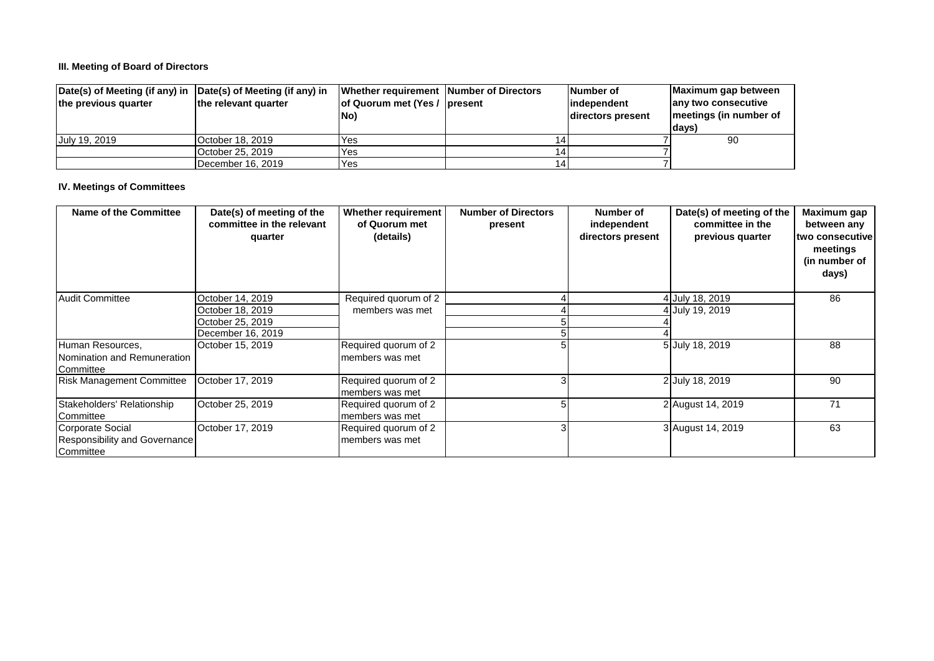## **III. Meeting of Board of Directors**

| $\vert$ Date(s) of Meeting (if any) in $\vert$ Date(s) of Meeting (if any) in |                      | Whether requirement Number of Directors | Number of         | Maximum gap between    |
|-------------------------------------------------------------------------------|----------------------|-----------------------------------------|-------------------|------------------------|
| the previous quarter                                                          | the relevant quarter | of Quorum met (Yes / present            | lindependent      | any two consecutive    |
|                                                                               |                      | No)                                     | directors present | meetings (in number of |
|                                                                               |                      |                                         |                   | days)                  |
| July 19, 2019                                                                 | October 18, 2019     | Yes                                     |                   | 90                     |
|                                                                               | lOctober 25. 2019    | Yes                                     |                   |                        |
|                                                                               | December 16, 2019    | Yes                                     |                   |                        |

### **IV. Meetings of Committees**

| <b>Name of the Committee</b>                                   | Date(s) of meeting of the<br>committee in the relevant<br>quarter | <b>Whether requirement</b><br>of Quorum met<br>(details) | <b>Number of Directors</b><br>present | Number of<br>independent<br>directors present | Date(s) of meeting of the<br>committee in the<br>previous quarter | Maximum gap<br>between any<br>two consecutive<br>meetings<br>(in number of<br>days) |
|----------------------------------------------------------------|-------------------------------------------------------------------|----------------------------------------------------------|---------------------------------------|-----------------------------------------------|-------------------------------------------------------------------|-------------------------------------------------------------------------------------|
| Audit Committee                                                | October 14, 2019                                                  | Required quorum of 2                                     |                                       |                                               | 4 July 18, 2019                                                   | 86                                                                                  |
|                                                                | October 18, 2019                                                  | members was met                                          |                                       |                                               | 4 July 19, 2019                                                   |                                                                                     |
|                                                                | October 25, 2019                                                  |                                                          |                                       |                                               |                                                                   |                                                                                     |
|                                                                | December 16, 2019                                                 |                                                          |                                       |                                               |                                                                   |                                                                                     |
| Human Resources,<br>Nomination and Remuneration<br>Committee   | October 15, 2019                                                  | Required quorum of 2<br>members was met                  |                                       |                                               | 5 July 18, 2019                                                   | 88                                                                                  |
| <b>Risk Management Committee</b>                               | October 17, 2019                                                  | Required quorum of 2<br>members was met                  |                                       |                                               | 2 July 18, 2019                                                   | 90                                                                                  |
| Stakeholders' Relationship<br>Committee                        | October 25, 2019                                                  | Required quorum of 2<br>members was met                  | 5                                     |                                               | 2 August 14, 2019                                                 | 71                                                                                  |
| Corporate Social<br>Responsibility and Governance<br>Committee | October 17, 2019                                                  | Required quorum of 2<br>members was met                  |                                       |                                               | 3 August 14, 2019                                                 | 63                                                                                  |